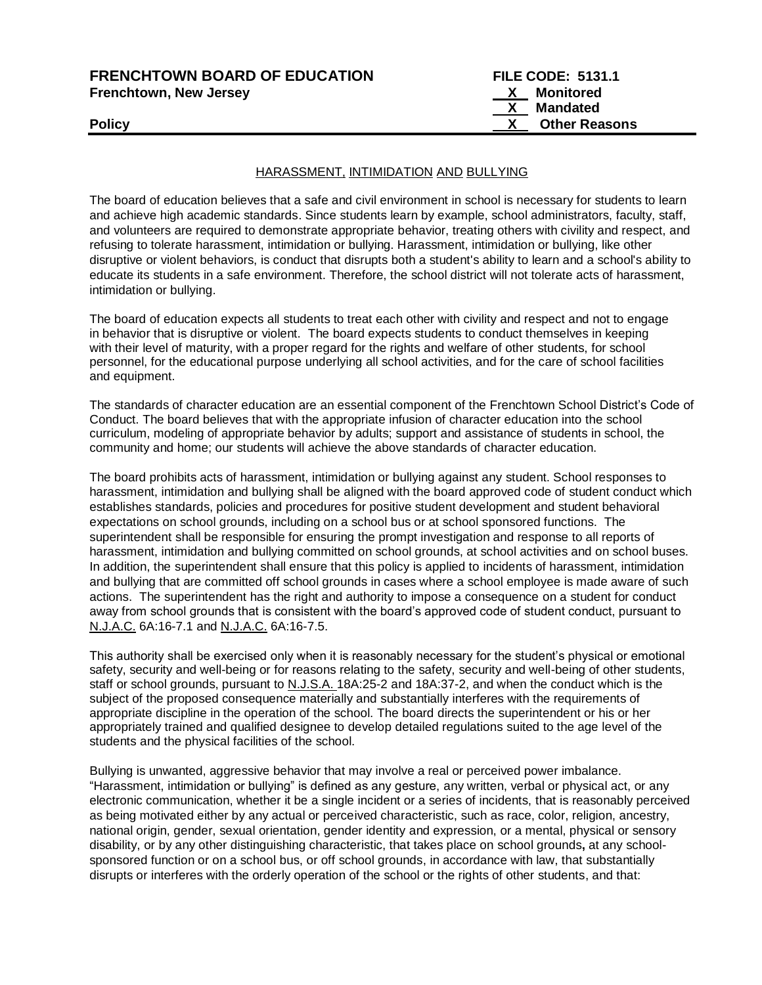# **FRENCHTOWN BOARD OF EDUCATION FILE CODE: 5131.1**<br>Frenchtown, New Jersey **Research Conduct Conduct Conduct Conduct** X Monitored **Frenchtown, New Jersey**

# HARASSMENT, INTIMIDATION AND BULLYING

The board of education believes that a safe and civil environment in school is necessary for students to learn and achieve high academic standards. Since students learn by example, school administrators, faculty, staff, and volunteers are required to demonstrate appropriate behavior, treating others with civility and respect, and refusing to tolerate harassment, intimidation or bullying. Harassment, intimidation or bullying, like other disruptive or violent behaviors, is conduct that disrupts both a student's ability to learn and a school's ability to educate its students in a safe environment. Therefore, the school district will not tolerate acts of harassment, intimidation or bullying.

The board of education expects all students to treat each other with civility and respect and not to engage in behavior that is disruptive or violent. The board expects students to conduct themselves in keeping with their level of maturity, with a proper regard for the rights and welfare of other students, for school personnel, for the educational purpose underlying all school activities, and for the care of school facilities and equipment.

The standards of character education are an essential component of the Frenchtown School District's Code of Conduct. The board believes that with the appropriate infusion of character education into the school curriculum, modeling of appropriate behavior by adults; support and assistance of students in school, the community and home; our students will achieve the above standards of character education.

The board prohibits acts of harassment, intimidation or bullying against any student. School responses to harassment, intimidation and bullying shall be aligned with the board approved code of student conduct which establishes standards, policies and procedures for positive student development and student behavioral expectations on school grounds, including on a school bus or at school sponsored functions. The superintendent shall be responsible for ensuring the prompt investigation and response to all reports of harassment, intimidation and bullying committed on school grounds, at school activities and on school buses. In addition, the superintendent shall ensure that this policy is applied to incidents of harassment, intimidation and bullying that are committed off school grounds in cases where a school employee is made aware of such actions. The superintendent has the right and authority to impose a consequence on a student for conduct away from school grounds that is consistent with the board's approved code of student conduct, pursuant to N.J.A.C. 6A:16-7.1 and N.J.A.C. 6A:16-7.5.

This authority shall be exercised only when it is reasonably necessary for the student's physical or emotional safety, security and well-being or for reasons relating to the safety, security and well-being of other students, staff or school grounds, pursuant to N.J.S.A. 18A:25-2 and 18A:37-2, and when the conduct which is the subject of the proposed consequence materially and substantially interferes with the requirements of appropriate discipline in the operation of the school. The board directs the superintendent or his or her appropriately trained and qualified designee to develop detailed regulations suited to the age level of the students and the physical facilities of the school.

Bullying is unwanted, aggressive behavior that may involve a real or perceived power imbalance. "Harassment, intimidation or bullying" is defined as any gesture, any written, verbal or physical act, or any electronic communication, whether it be a single incident or a series of incidents, that is reasonably perceived as being motivated either by any actual or perceived characteristic, such as race, color, religion, ancestry, national origin, gender, sexual orientation, gender identity and expression, or a mental, physical or sensory disability, or by any other distinguishing characteristic, that takes place on school grounds**,** at any schoolsponsored function or on a school bus, or off school grounds, in accordance with law, that substantially disrupts or interferes with the orderly operation of the school or the rights of other students, and that: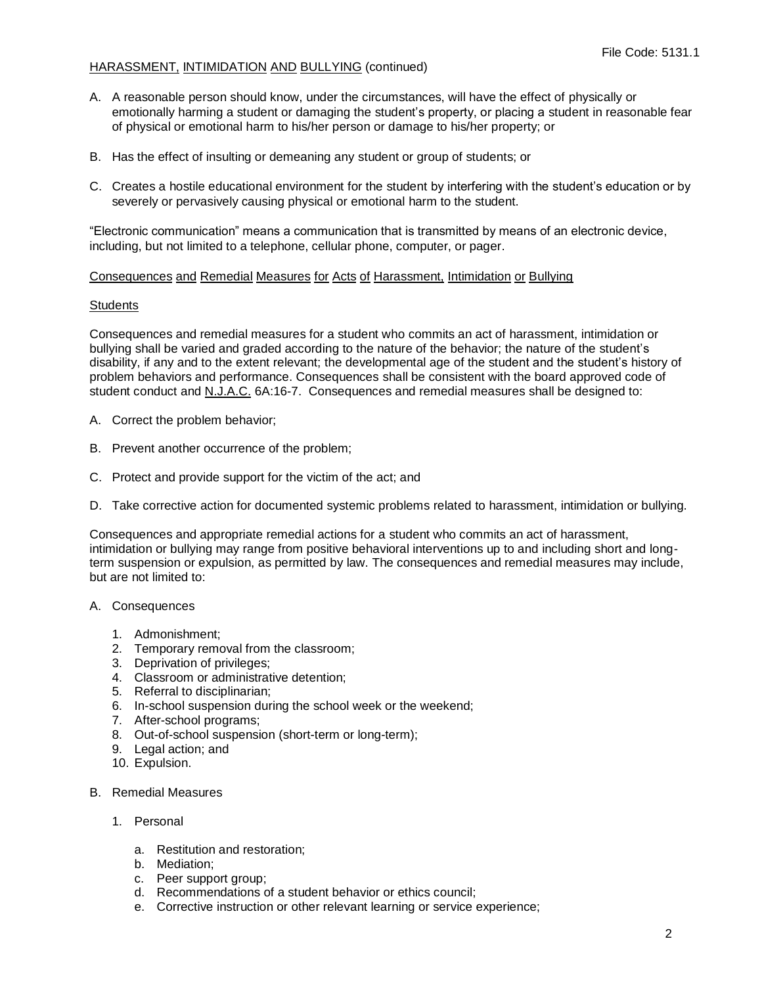- A. A reasonable person should know, under the circumstances, will have the effect of physically or emotionally harming a student or damaging the student's property, or placing a student in reasonable fear of physical or emotional harm to his/her person or damage to his/her property; or
- B. Has the effect of insulting or demeaning any student or group of students; or
- C. Creates a hostile educational environment for the student by interfering with the student's education or by severely or pervasively causing physical or emotional harm to the student.

"Electronic communication" means a communication that is transmitted by means of an electronic device, including, but not limited to a telephone, cellular phone, computer, or pager.

# Consequences and Remedial Measures for Acts of Harassment, Intimidation or Bullying

## **Students**

Consequences and remedial measures for a student who commits an act of harassment, intimidation or bullying shall be varied and graded according to the nature of the behavior; the nature of the student's disability, if any and to the extent relevant; the developmental age of the student and the student's history of problem behaviors and performance. Consequences shall be consistent with the board approved code of student conduct and N.J.A.C. 6A:16-7. Consequences and remedial measures shall be designed to:

- A. Correct the problem behavior;
- B. Prevent another occurrence of the problem;
- C. Protect and provide support for the victim of the act; and
- D. Take corrective action for documented systemic problems related to harassment, intimidation or bullying.

Consequences and appropriate remedial actions for a student who commits an act of harassment, intimidation or bullying may range from positive behavioral interventions up to and including short and longterm suspension or expulsion, as permitted by law. The consequences and remedial measures may include, but are not limited to:

## A. Consequences

- 1. Admonishment;
- 2. Temporary removal from the classroom;
- 3. Deprivation of privileges;
- 4. Classroom or administrative detention;
- 5. Referral to disciplinarian;
- 6. In-school suspension during the school week or the weekend;
- 7. After-school programs;
- 8. Out-of-school suspension (short-term or long-term);
- 9. Legal action; and
- 10. Expulsion.
- B. Remedial Measures
	- 1. Personal
		- a. Restitution and restoration;
		- b. Mediation;
		- c. Peer support group;
		- d. Recommendations of a student behavior or ethics council;
		- e. Corrective instruction or other relevant learning or service experience;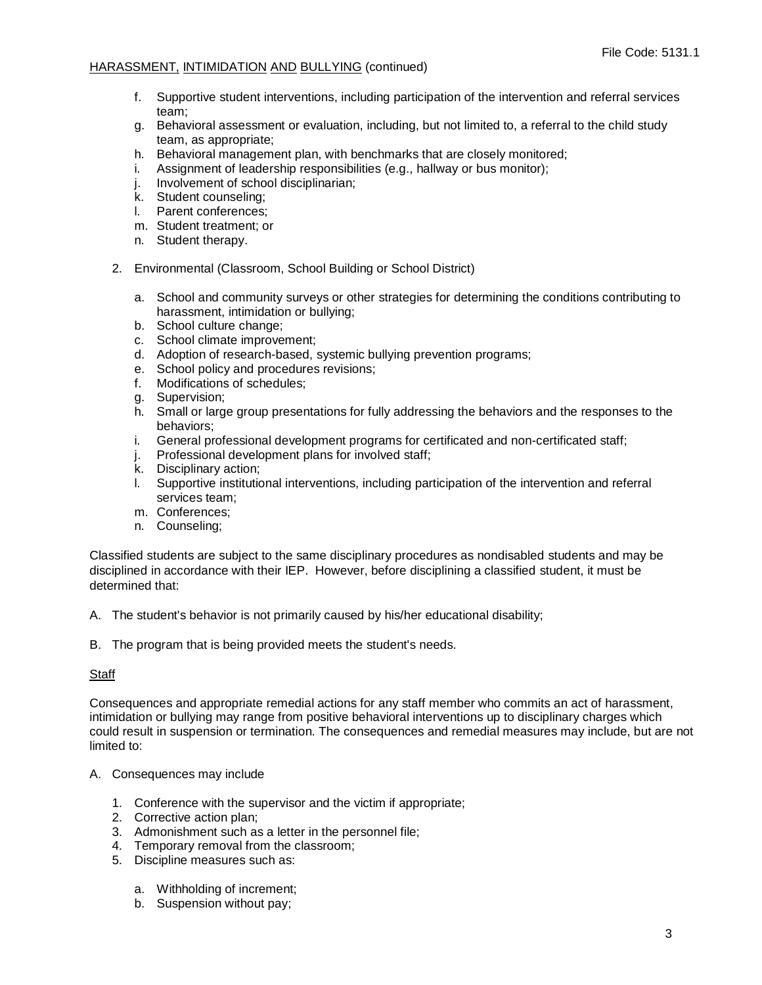- f. Supportive student interventions, including participation of the intervention and referral services team;
- g. Behavioral assessment or evaluation, including, but not limited to, a referral to the child study team, as appropriate;
- h. Behavioral management plan, with benchmarks that are closely monitored;
- i. Assignment of leadership responsibilities (e.g., hallway or bus monitor);
- j. Involvement of school disciplinarian;
- k. Student counseling;
- l. Parent conferences;
- m. Student treatment; or
- n. Student therapy.
- 2. Environmental (Classroom, School Building or School District)
	- a. School and community surveys or other strategies for determining the conditions contributing to harassment, intimidation or bullying;
	- b. School culture change;
	- c. School climate improvement;
	- d. Adoption of research-based, systemic bullying prevention programs;
	- e. School policy and procedures revisions;
	- f. Modifications of schedules;
	- g. Supervision;
	- h. Small or large group presentations for fully addressing the behaviors and the responses to the behaviors;
	- i. General professional development programs for certificated and non-certificated staff;
	- j. Professional development plans for involved staff;
	- k. Disciplinary action;
	- l. Supportive institutional interventions, including participation of the intervention and referral services team;
	- m. Conferences;
	- n. Counseling;

Classified students are subject to the same disciplinary procedures as nondisabled students and may be disciplined in accordance with their IEP. However, before disciplining a classified student, it must be determined that:

A. The student's behavior is not primarily caused by his/her educational disability;

B. The program that is being provided meets the student's needs.

## Staff

Consequences and appropriate remedial actions for any staff member who commits an act of harassment, intimidation or bullying may range from positive behavioral interventions up to disciplinary charges which could result in suspension or termination. The consequences and remedial measures may include, but are not limited to:

## A. Consequences may include

- 1. Conference with the supervisor and the victim if appropriate;
- 2. Corrective action plan;
- 3. Admonishment such as a letter in the personnel file;
- 4. Temporary removal from the classroom;
- 5. Discipline measures such as:
	- a. Withholding of increment;
	- b. Suspension without pay;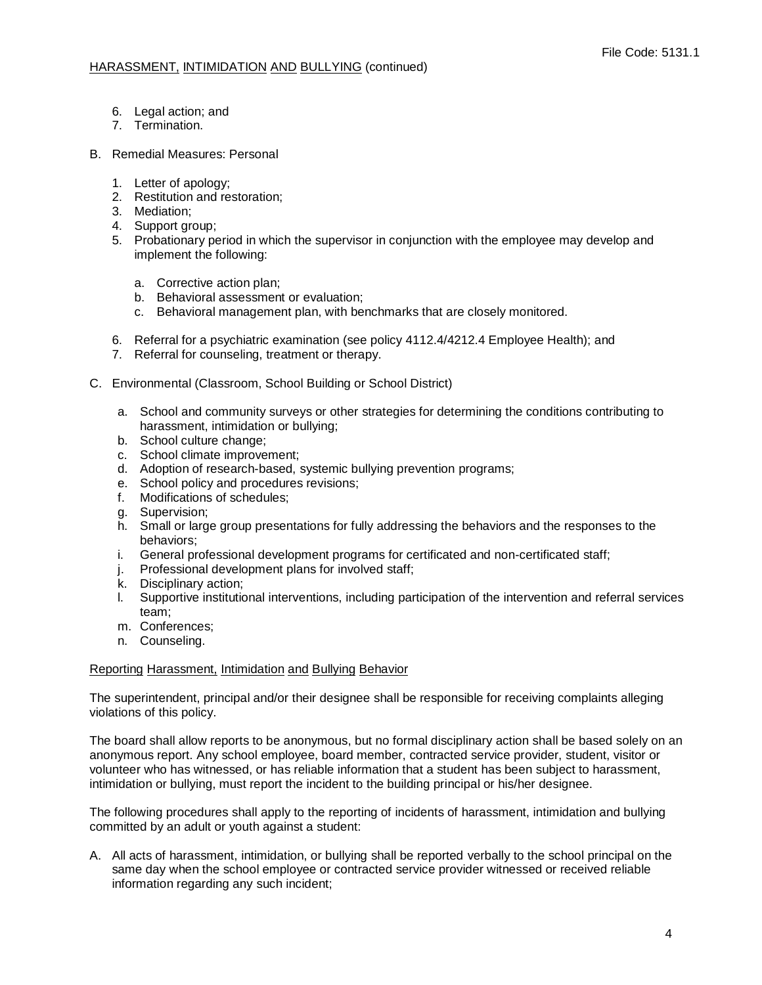- 6. Legal action; and
- 7. Termination.
- B. Remedial Measures: Personal
	- 1. Letter of apology;
	- 2. Restitution and restoration;
	- 3. Mediation;
	- 4. Support group;
	- 5. Probationary period in which the supervisor in conjunction with the employee may develop and implement the following:
		- a. Corrective action plan;
		- b. Behavioral assessment or evaluation;
		- c. Behavioral management plan, with benchmarks that are closely monitored.
	- 6. Referral for a psychiatric examination (see policy 4112.4/4212.4 Employee Health); and
	- 7. Referral for counseling, treatment or therapy.
- C. Environmental (Classroom, School Building or School District)
	- a. School and community surveys or other strategies for determining the conditions contributing to harassment, intimidation or bullying;
	- b. School culture change;
	- c. School climate improvement;
	- d. Adoption of research-based, systemic bullying prevention programs;
	- e. School policy and procedures revisions;
	- f. Modifications of schedules;
	- g. Supervision;
	- h. Small or large group presentations for fully addressing the behaviors and the responses to the behaviors;
	- i. General professional development programs for certificated and non-certificated staff;
	- j. Professional development plans for involved staff;
	- k. Disciplinary action;
	- l. Supportive institutional interventions, including participation of the intervention and referral services team;
	- m. Conferences;
	- n. Counseling.

# Reporting Harassment, Intimidation and Bullying Behavior

The superintendent, principal and/or their designee shall be responsible for receiving complaints alleging violations of this policy.

The board shall allow reports to be anonymous, but no formal disciplinary action shall be based solely on an anonymous report. Any school employee, board member, contracted service provider, student, visitor or volunteer who has witnessed, or has reliable information that a student has been subject to harassment, intimidation or bullying, must report the incident to the building principal or his/her designee.

The following procedures shall apply to the reporting of incidents of harassment, intimidation and bullying committed by an adult or youth against a student:

A. All acts of harassment, intimidation, or bullying shall be reported verbally to the school principal on the same day when the school employee or contracted service provider witnessed or received reliable information regarding any such incident;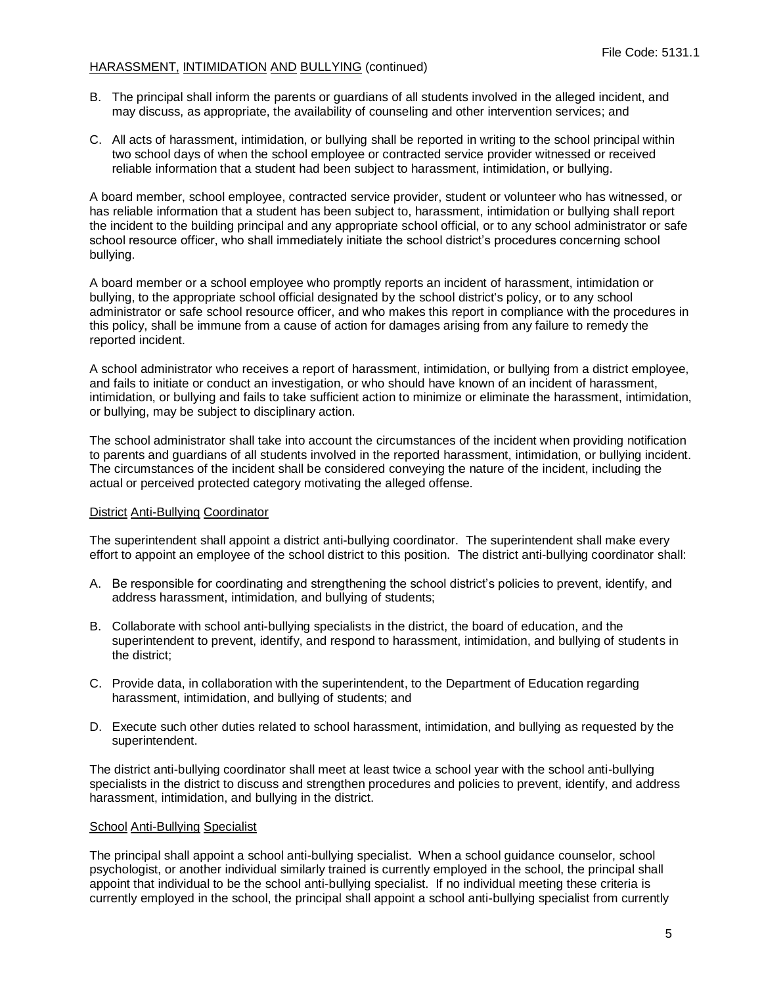- B. The principal shall inform the parents or guardians of all students involved in the alleged incident, and may discuss, as appropriate, the availability of counseling and other intervention services; and
- C. All acts of harassment, intimidation, or bullying shall be reported in writing to the school principal within two school days of when the school employee or contracted service provider witnessed or received reliable information that a student had been subject to harassment, intimidation, or bullying.

A board member, school employee, contracted service provider, student or volunteer who has witnessed, or has reliable information that a student has been subject to, harassment, intimidation or bullying shall report the incident to the building principal and any appropriate school official, or to any school administrator or safe school resource officer, who shall immediately initiate the school district's procedures concerning school bullying.

A board member or a school employee who promptly reports an incident of harassment, intimidation or bullying, to the appropriate school official designated by the school district's policy, or to any school administrator or safe school resource officer, and who makes this report in compliance with the procedures in this policy, shall be immune from a cause of action for damages arising from any failure to remedy the reported incident.

A school administrator who receives a report of harassment, intimidation, or bullying from a district employee, and fails to initiate or conduct an investigation, or who should have known of an incident of harassment, intimidation, or bullying and fails to take sufficient action to minimize or eliminate the harassment, intimidation, or bullying, may be subject to disciplinary action.

The school administrator shall take into account the circumstances of the incident when providing notification to parents and guardians of all students involved in the reported harassment, intimidation, or bullying incident. The circumstances of the incident shall be considered conveying the nature of the incident, including the actual or perceived protected category motivating the alleged offense.

## District Anti-Bullying Coordinator

The superintendent shall appoint a district anti-bullying coordinator. The superintendent shall make every effort to appoint an employee of the school district to this position. The district anti-bullying coordinator shall:

- A. Be responsible for coordinating and strengthening the school district's policies to prevent, identify, and address harassment, intimidation, and bullying of students;
- B. Collaborate with school anti-bullying specialists in the district, the board of education, and the superintendent to prevent, identify, and respond to harassment, intimidation, and bullying of students in the district;
- C. Provide data, in collaboration with the superintendent, to the Department of Education regarding harassment, intimidation, and bullying of students; and
- D. Execute such other duties related to school harassment, intimidation, and bullying as requested by the superintendent.

The district anti-bullying coordinator shall meet at least twice a school year with the school anti-bullying specialists in the district to discuss and strengthen procedures and policies to prevent, identify, and address harassment, intimidation, and bullying in the district.

## School Anti-Bullying Specialist

The principal shall appoint a school anti-bullying specialist. When a school guidance counselor, school psychologist, or another individual similarly trained is currently employed in the school, the principal shall appoint that individual to be the school anti-bullying specialist. If no individual meeting these criteria is currently employed in the school, the principal shall appoint a school anti-bullying specialist from currently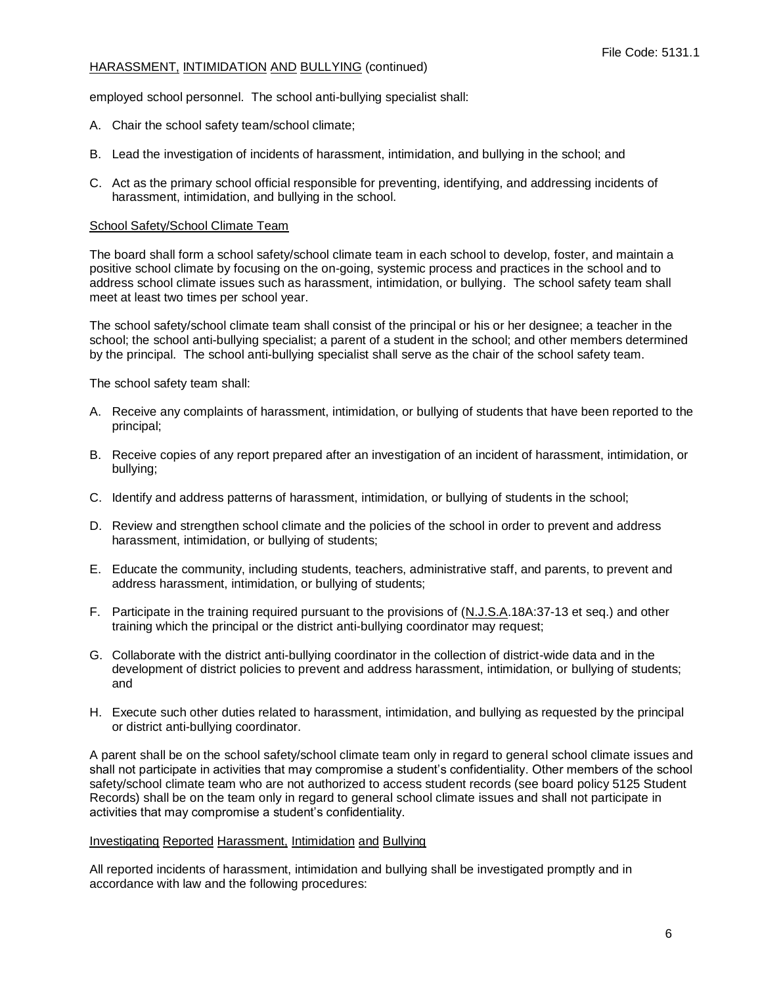employed school personnel. The school anti-bullying specialist shall:

- A. Chair the school safety team/school climate;
- B. Lead the investigation of incidents of harassment, intimidation, and bullying in the school; and
- C. Act as the primary school official responsible for preventing, identifying, and addressing incidents of harassment, intimidation, and bullying in the school.

#### School Safety/School Climate Team

The board shall form a school safety/school climate team in each school to develop, foster, and maintain a positive school climate by focusing on the on-going, systemic process and practices in the school and to address school climate issues such as harassment, intimidation, or bullying. The school safety team shall meet at least two times per school year.

The school safety/school climate team shall consist of the principal or his or her designee; a teacher in the school; the school anti-bullying specialist; a parent of a student in the school; and other members determined by the principal. The school anti-bullying specialist shall serve as the chair of the school safety team.

The school safety team shall:

- A. Receive any complaints of harassment, intimidation, or bullying of students that have been reported to the principal;
- B. Receive copies of any report prepared after an investigation of an incident of harassment, intimidation, or bullying;
- C. Identify and address patterns of harassment, intimidation, or bullying of students in the school;
- D. Review and strengthen school climate and the policies of the school in order to prevent and address harassment, intimidation, or bullying of students;
- E. Educate the community, including students, teachers, administrative staff, and parents, to prevent and address harassment, intimidation, or bullying of students;
- F. Participate in the training required pursuant to the provisions of (N.J.S.A.18A:37-13 et seq.) and other training which the principal or the district anti-bullying coordinator may request;
- G. Collaborate with the district anti-bullying coordinator in the collection of district-wide data and in the development of district policies to prevent and address harassment, intimidation, or bullying of students; and
- H. Execute such other duties related to harassment, intimidation, and bullying as requested by the principal or district anti-bullying coordinator.

A parent shall be on the school safety/school climate team only in regard to general school climate issues and shall not participate in activities that may compromise a student's confidentiality. Other members of the school safety/school climate team who are not authorized to access student records (see board policy 5125 Student Records) shall be on the team only in regard to general school climate issues and shall not participate in activities that may compromise a student's confidentiality.

## Investigating Reported Harassment, Intimidation and Bullying

All reported incidents of harassment, intimidation and bullying shall be investigated promptly and in accordance with law and the following procedures: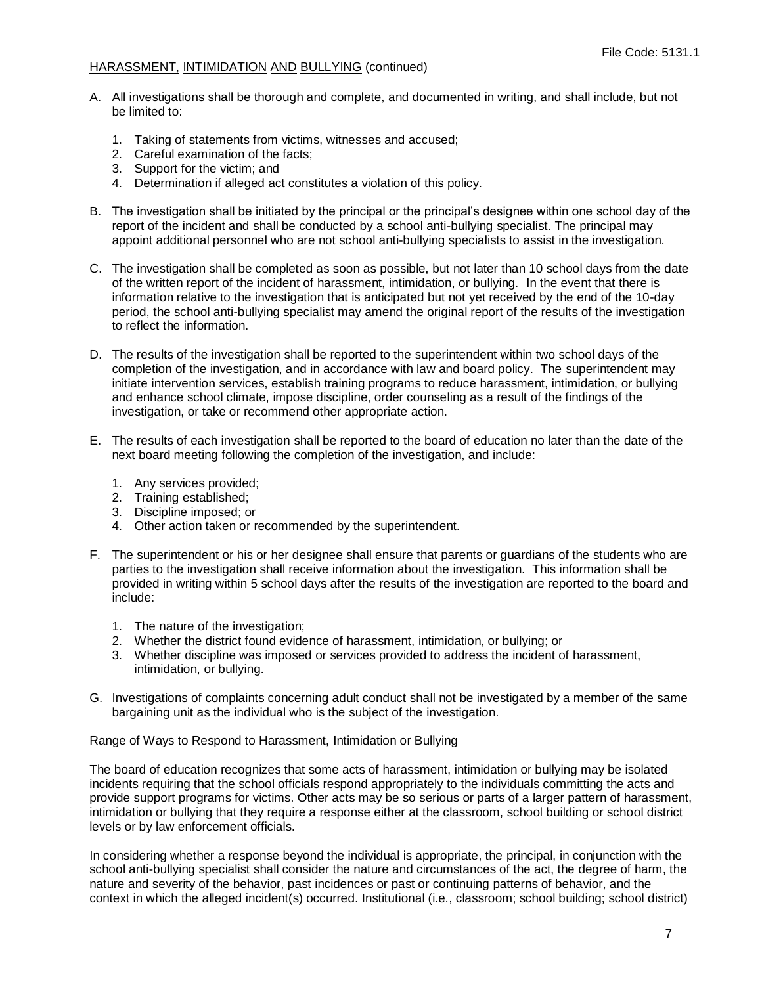- A. All investigations shall be thorough and complete, and documented in writing, and shall include, but not be limited to:
	- 1. Taking of statements from victims, witnesses and accused;
	- 2. Careful examination of the facts;
	- 3. Support for the victim; and
	- 4. Determination if alleged act constitutes a violation of this policy.
- B. The investigation shall be initiated by the principal or the principal's designee within one school day of the report of the incident and shall be conducted by a school anti-bullying specialist. The principal may appoint additional personnel who are not school anti-bullying specialists to assist in the investigation.
- C. The investigation shall be completed as soon as possible, but not later than 10 school days from the date of the written report of the incident of harassment, intimidation, or bullying. In the event that there is information relative to the investigation that is anticipated but not yet received by the end of the 10-day period, the school anti-bullying specialist may amend the original report of the results of the investigation to reflect the information.
- D. The results of the investigation shall be reported to the superintendent within two school days of the completion of the investigation, and in accordance with law and board policy. The superintendent may initiate intervention services, establish training programs to reduce harassment, intimidation, or bullying and enhance school climate, impose discipline, order counseling as a result of the findings of the investigation, or take or recommend other appropriate action.
- E. The results of each investigation shall be reported to the board of education no later than the date of the next board meeting following the completion of the investigation, and include:
	- 1. Any services provided;
	- 2. Training established;
	- 3. Discipline imposed; or
	- 4. Other action taken or recommended by the superintendent.
- F. The superintendent or his or her designee shall ensure that parents or guardians of the students who are parties to the investigation shall receive information about the investigation. This information shall be provided in writing within 5 school days after the results of the investigation are reported to the board and include:
	- 1. The nature of the investigation;
	- 2. Whether the district found evidence of harassment, intimidation, or bullying; or
	- 3. Whether discipline was imposed or services provided to address the incident of harassment, intimidation, or bullying.
- G. Investigations of complaints concerning adult conduct shall not be investigated by a member of the same bargaining unit as the individual who is the subject of the investigation.

## Range of Ways to Respond to Harassment, Intimidation or Bullying

The board of education recognizes that some acts of harassment, intimidation or bullying may be isolated incidents requiring that the school officials respond appropriately to the individuals committing the acts and provide support programs for victims. Other acts may be so serious or parts of a larger pattern of harassment, intimidation or bullying that they require a response either at the classroom, school building or school district levels or by law enforcement officials.

In considering whether a response beyond the individual is appropriate, the principal, in conjunction with the school anti-bullying specialist shall consider the nature and circumstances of the act, the degree of harm, the nature and severity of the behavior, past incidences or past or continuing patterns of behavior, and the context in which the alleged incident(s) occurred. Institutional (i.e., classroom; school building; school district)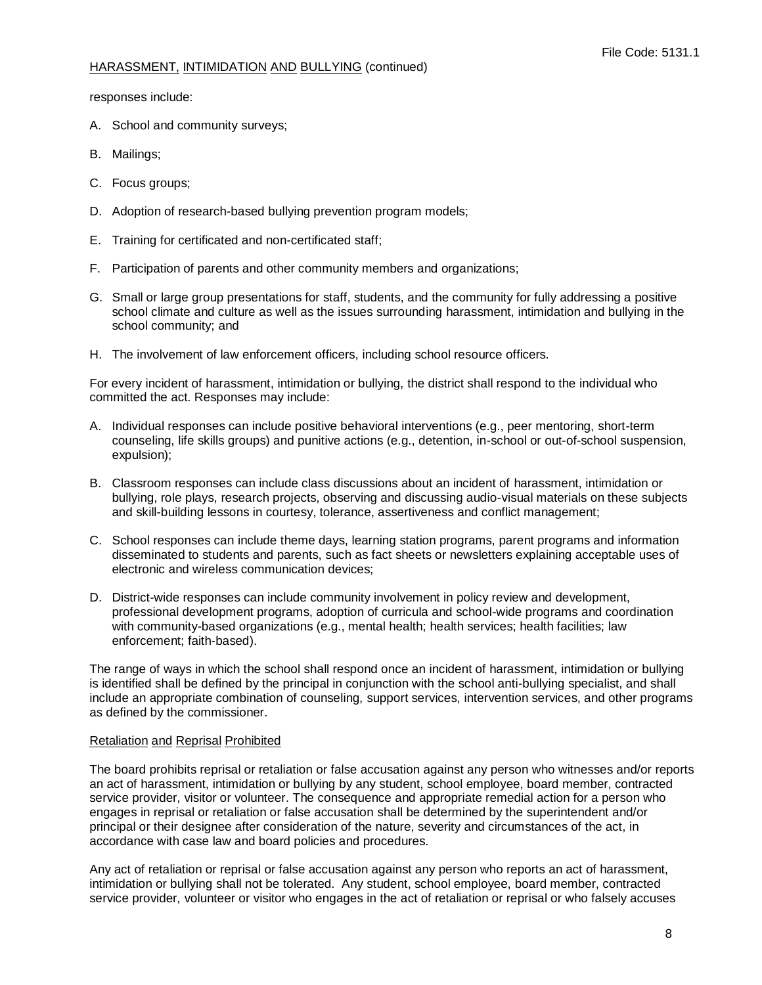responses include:

- A. School and community surveys;
- B. Mailings;
- C. Focus groups;
- D. Adoption of research-based bullying prevention program models;
- E. Training for certificated and non-certificated staff;
- F. Participation of parents and other community members and organizations;
- G. Small or large group presentations for staff, students, and the community for fully addressing a positive school climate and culture as well as the issues surrounding harassment, intimidation and bullying in the school community; and
- H. The involvement of law enforcement officers, including school resource officers.

For every incident of harassment, intimidation or bullying, the district shall respond to the individual who committed the act. Responses may include:

- A. Individual responses can include positive behavioral interventions (e.g., peer mentoring, short-term counseling, life skills groups) and punitive actions (e.g., detention, in-school or out-of-school suspension, expulsion);
- B. Classroom responses can include class discussions about an incident of harassment, intimidation or bullying, role plays, research projects, observing and discussing audio-visual materials on these subjects and skill-building lessons in courtesy, tolerance, assertiveness and conflict management;
- C. School responses can include theme days, learning station programs, parent programs and information disseminated to students and parents, such as fact sheets or newsletters explaining acceptable uses of electronic and wireless communication devices;
- D. District-wide responses can include community involvement in policy review and development, professional development programs, adoption of curricula and school-wide programs and coordination with community-based organizations (e.g., mental health; health services; health facilities; law enforcement; faith-based).

The range of ways in which the school shall respond once an incident of harassment, intimidation or bullying is identified shall be defined by the principal in conjunction with the school anti-bullying specialist, and shall include an appropriate combination of counseling, support services, intervention services, and other programs as defined by the commissioner.

## Retaliation and Reprisal Prohibited

The board prohibits reprisal or retaliation or false accusation against any person who witnesses and/or reports an act of harassment, intimidation or bullying by any student, school employee, board member, contracted service provider, visitor or volunteer. The consequence and appropriate remedial action for a person who engages in reprisal or retaliation or false accusation shall be determined by the superintendent and/or principal or their designee after consideration of the nature, severity and circumstances of the act, in accordance with case law and board policies and procedures.

Any act of retaliation or reprisal or false accusation against any person who reports an act of harassment, intimidation or bullying shall not be tolerated. Any student, school employee, board member, contracted service provider, volunteer or visitor who engages in the act of retaliation or reprisal or who falsely accuses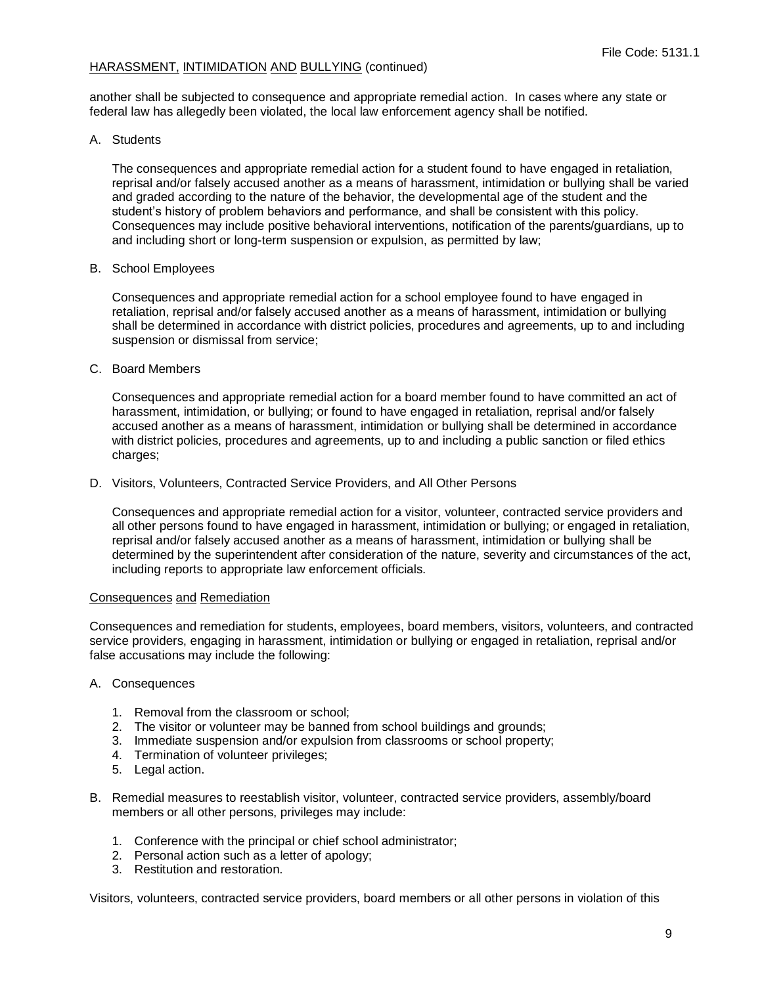another shall be subjected to consequence and appropriate remedial action. In cases where any state or federal law has allegedly been violated, the local law enforcement agency shall be notified.

A. Students

The consequences and appropriate remedial action for a student found to have engaged in retaliation, reprisal and/or falsely accused another as a means of harassment, intimidation or bullying shall be varied and graded according to the nature of the behavior, the developmental age of the student and the student's history of problem behaviors and performance, and shall be consistent with this policy. Consequences may include positive behavioral interventions, notification of the parents/guardians, up to and including short or long-term suspension or expulsion, as permitted by law;

## B. School Employees

Consequences and appropriate remedial action for a school employee found to have engaged in retaliation, reprisal and/or falsely accused another as a means of harassment, intimidation or bullying shall be determined in accordance with district policies, procedures and agreements, up to and including suspension or dismissal from service;

C. Board Members

Consequences and appropriate remedial action for a board member found to have committed an act of harassment, intimidation, or bullying; or found to have engaged in retaliation, reprisal and/or falsely accused another as a means of harassment, intimidation or bullying shall be determined in accordance with district policies, procedures and agreements, up to and including a public sanction or filed ethics charges:

D. Visitors, Volunteers, Contracted Service Providers, and All Other Persons

Consequences and appropriate remedial action for a visitor, volunteer, contracted service providers and all other persons found to have engaged in harassment, intimidation or bullying; or engaged in retaliation, reprisal and/or falsely accused another as a means of harassment, intimidation or bullying shall be determined by the superintendent after consideration of the nature, severity and circumstances of the act, including reports to appropriate law enforcement officials.

# Consequences and Remediation

Consequences and remediation for students, employees, board members, visitors, volunteers, and contracted service providers, engaging in harassment, intimidation or bullying or engaged in retaliation, reprisal and/or false accusations may include the following:

- A. Consequences
	- 1. Removal from the classroom or school;
	- 2. The visitor or volunteer may be banned from school buildings and grounds;
	- 3. Immediate suspension and/or expulsion from classrooms or school property;
	- 4. Termination of volunteer privileges:
	- 5. Legal action.
- B. Remedial measures to reestablish visitor, volunteer, contracted service providers, assembly/board members or all other persons, privileges may include:
	- 1. Conference with the principal or chief school administrator;
	- 2. Personal action such as a letter of apology;
	- 3. Restitution and restoration.

Visitors, volunteers, contracted service providers, board members or all other persons in violation of this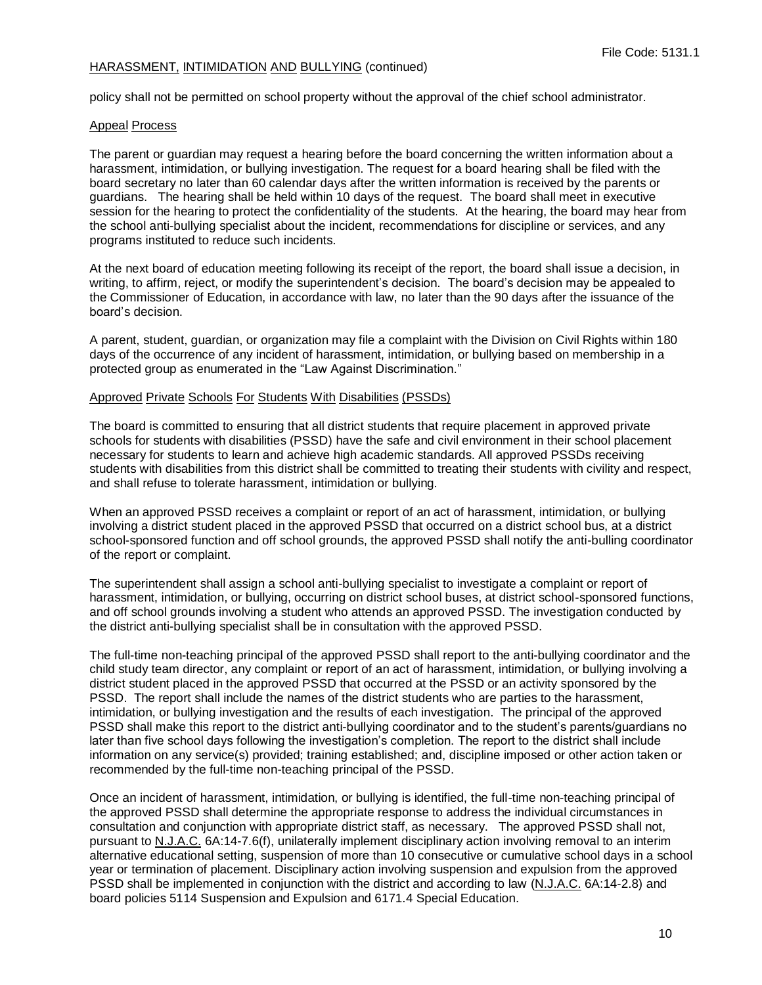policy shall not be permitted on school property without the approval of the chief school administrator.

## Appeal Process

The parent or guardian may request a hearing before the board concerning the written information about a harassment, intimidation, or bullying investigation. The request for a board hearing shall be filed with the board secretary no later than 60 calendar days after the written information is received by the parents or guardians. The hearing shall be held within 10 days of the request. The board shall meet in executive session for the hearing to protect the confidentiality of the students. At the hearing, the board may hear from the school anti-bullying specialist about the incident, recommendations for discipline or services, and any programs instituted to reduce such incidents.

At the next board of education meeting following its receipt of the report, the board shall issue a decision, in writing, to affirm, reject, or modify the superintendent's decision. The board's decision may be appealed to the Commissioner of Education, in accordance with law, no later than the 90 days after the issuance of the board's decision.

A parent, student, guardian, or organization may file a complaint with the Division on Civil Rights within 180 days of the occurrence of any incident of harassment, intimidation, or bullying based on membership in a protected group as enumerated in the "Law Against Discrimination."

#### Approved Private Schools For Students With Disabilities (PSSDs)

The board is committed to ensuring that all district students that require placement in approved private schools for students with disabilities (PSSD) have the safe and civil environment in their school placement necessary for students to learn and achieve high academic standards. All approved PSSDs receiving students with disabilities from this district shall be committed to treating their students with civility and respect, and shall refuse to tolerate harassment, intimidation or bullying.

When an approved PSSD receives a complaint or report of an act of harassment, intimidation, or bullying involving a district student placed in the approved PSSD that occurred on a district school bus, at a district school-sponsored function and off school grounds, the approved PSSD shall notify the anti-bulling coordinator of the report or complaint.

The superintendent shall assign a school anti-bullying specialist to investigate a complaint or report of harassment, intimidation, or bullying, occurring on district school buses, at district school-sponsored functions, and off school grounds involving a student who attends an approved PSSD. The investigation conducted by the district anti-bullying specialist shall be in consultation with the approved PSSD.

The full-time non-teaching principal of the approved PSSD shall report to the anti-bullying coordinator and the child study team director, any complaint or report of an act of harassment, intimidation, or bullying involving a district student placed in the approved PSSD that occurred at the PSSD or an activity sponsored by the PSSD. The report shall include the names of the district students who are parties to the harassment, intimidation, or bullying investigation and the results of each investigation. The principal of the approved PSSD shall make this report to the district anti-bullying coordinator and to the student's parents/guardians no later than five school days following the investigation's completion. The report to the district shall include information on any service(s) provided; training established; and, discipline imposed or other action taken or recommended by the full-time non-teaching principal of the PSSD.

Once an incident of harassment, intimidation, or bullying is identified, the full-time non-teaching principal of the approved PSSD shall determine the appropriate response to address the individual circumstances in consultation and conjunction with appropriate district staff, as necessary. The approved PSSD shall not, pursuant to N.J.A.C. 6A:14-7.6(f), unilaterally implement disciplinary action involving removal to an interim alternative educational setting, suspension of more than 10 consecutive or cumulative school days in a school year or termination of placement. Disciplinary action involving suspension and expulsion from the approved PSSD shall be implemented in conjunction with the district and according to law (N.J.A.C. 6A:14-2.8) and board policies 5114 Suspension and Expulsion and 6171.4 Special Education.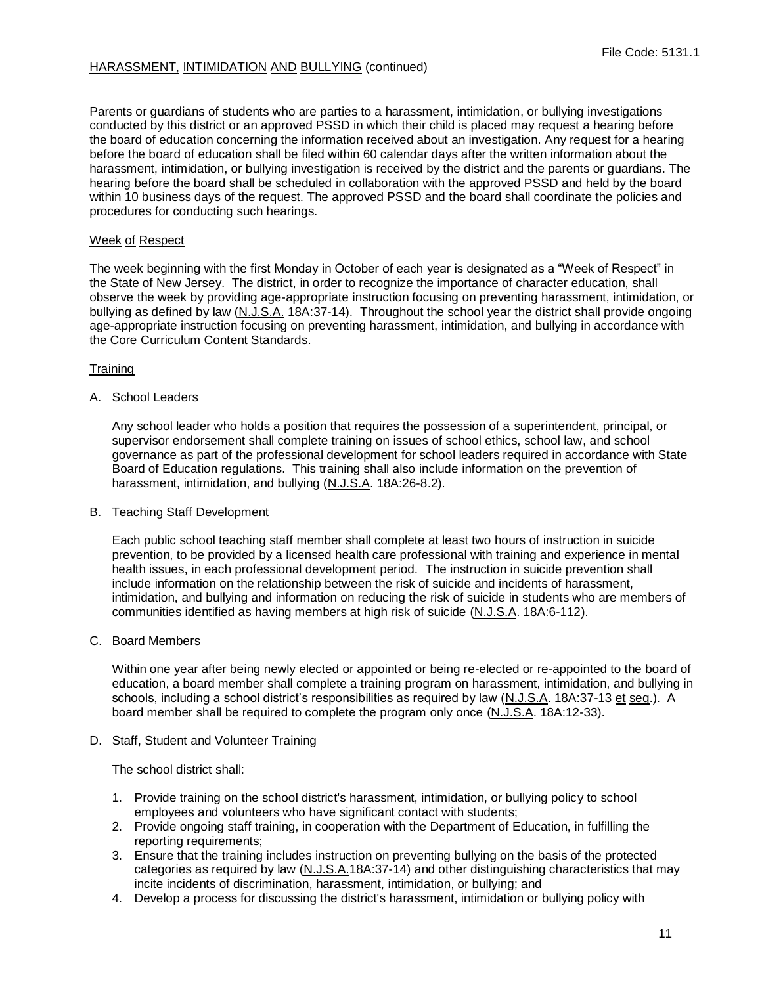Parents or guardians of students who are parties to a harassment, intimidation, or bullying investigations conducted by this district or an approved PSSD in which their child is placed may request a hearing before the board of education concerning the information received about an investigation. Any request for a hearing before the board of education shall be filed within 60 calendar days after the written information about the harassment, intimidation, or bullying investigation is received by the district and the parents or guardians. The hearing before the board shall be scheduled in collaboration with the approved PSSD and held by the board within 10 business days of the request. The approved PSSD and the board shall coordinate the policies and procedures for conducting such hearings.

# Week of Respect

The week beginning with the first Monday in October of each year is designated as a "Week of Respect" in the State of New Jersey. The district, in order to recognize the importance of character education, shall observe the week by providing age-appropriate instruction focusing on preventing harassment, intimidation, or bullying as defined by law (N.J.S.A. 18A:37-14). Throughout the school year the district shall provide ongoing age-appropriate instruction focusing on preventing harassment, intimidation, and bullying in accordance with the Core Curriculum Content Standards.

# **Training**

A. School Leaders

Any school leader who holds a position that requires the possession of a superintendent, principal, or supervisor endorsement shall complete training on issues of school ethics, school law, and school governance as part of the professional development for school leaders required in accordance with State Board of Education regulations. This training shall also include information on the prevention of harassment, intimidation, and bullying (N.J.S.A. 18A:26-8.2).

B. Teaching Staff Development

Each public school teaching staff member shall complete at least two hours of instruction in suicide prevention, to be provided by a licensed health care professional with training and experience in mental health issues, in each professional development period. The instruction in suicide prevention shall include information on the relationship between the risk of suicide and incidents of harassment, intimidation, and bullying and information on reducing the risk of suicide in students who are members of communities identified as having members at high risk of suicide (N.J.S.A. 18A:6-112).

## C. Board Members

Within one year after being newly elected or appointed or being re-elected or re-appointed to the board of education, a board member shall complete a training program on harassment, intimidation, and bullying in schools, including a school district's responsibilities as required by law (N.J.S.A. 18A:37-13 et seq.). A board member shall be required to complete the program only once (N.J.S.A. 18A:12-33).

D. Staff, Student and Volunteer Training

The school district shall:

- 1. Provide training on the school district's harassment, intimidation, or bullying policy to school employees and volunteers who have significant contact with students;
- 2. Provide ongoing staff training, in cooperation with the Department of Education, in fulfilling the reporting requirements;
- 3. Ensure that the training includes instruction on preventing bullying on the basis of the protected categories as required by law (N.J.S.A.18A:37-14) and other distinguishing characteristics that may incite incidents of discrimination, harassment, intimidation, or bullying; and
- 4. Develop a process for discussing the district's harassment, intimidation or bullying policy with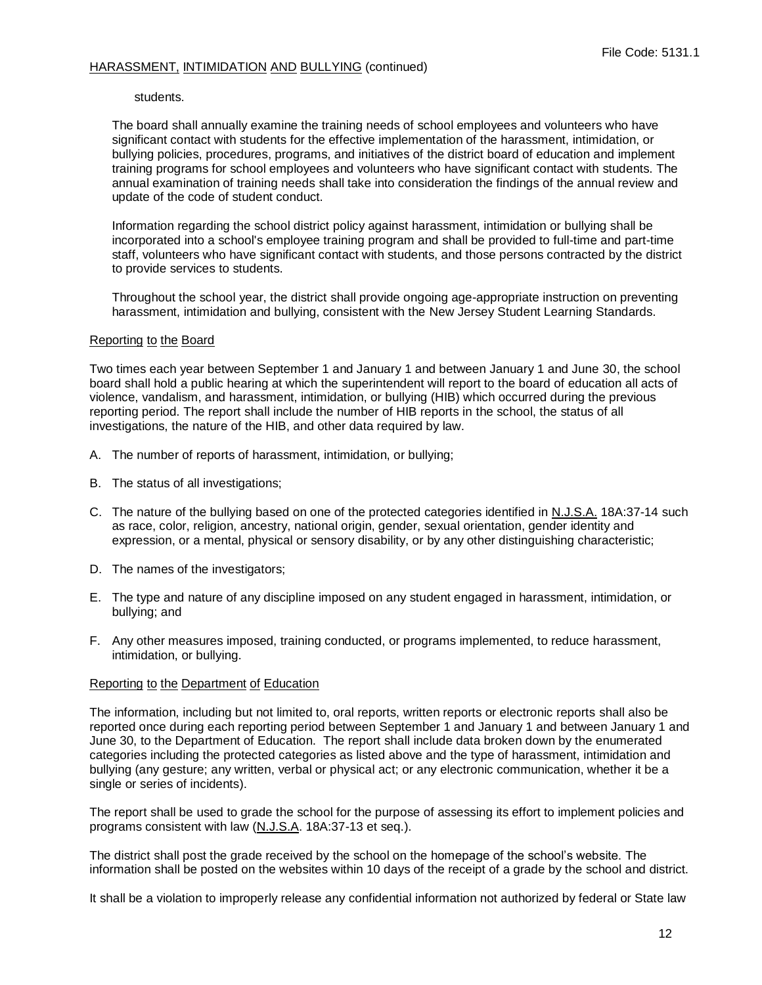#### students.

The board shall annually examine the training needs of school employees and volunteers who have significant contact with students for the effective implementation of the harassment, intimidation, or bullying policies, procedures, programs, and initiatives of the district board of education and implement training programs for school employees and volunteers who have significant contact with students. The annual examination of training needs shall take into consideration the findings of the annual review and update of the code of student conduct.

Information regarding the school district policy against harassment, intimidation or bullying shall be incorporated into a school's employee training program and shall be provided to full-time and part-time staff, volunteers who have significant contact with students, and those persons contracted by the district to provide services to students.

Throughout the school year, the district shall provide ongoing age-appropriate instruction on preventing harassment, intimidation and bullying, consistent with the New Jersey Student Learning Standards.

#### Reporting to the Board

Two times each year between September 1 and January 1 and between January 1 and June 30, the school board shall hold a public hearing at which the superintendent will report to the board of education all acts of violence, vandalism, and harassment, intimidation, or bullying (HIB) which occurred during the previous reporting period. The report shall include the number of HIB reports in the school, the status of all investigations, the nature of the HIB, and other data required by law.

- A. The number of reports of harassment, intimidation, or bullying;
- B. The status of all investigations;
- C. The nature of the bullying based on one of the protected categories identified in N.J.S.A. 18A:37-14 such as race, color, religion, ancestry, national origin, gender, sexual orientation, gender identity and expression, or a mental, physical or sensory disability, or by any other distinguishing characteristic;
- D. The names of the investigators;
- E. The type and nature of any discipline imposed on any student engaged in harassment, intimidation, or bullying; and
- F. Any other measures imposed, training conducted, or programs implemented, to reduce harassment, intimidation, or bullying.

## Reporting to the Department of Education

The information, including but not limited to, oral reports, written reports or electronic reports shall also be reported once during each reporting period between September 1 and January 1 and between January 1 and June 30, to the Department of Education. The report shall include data broken down by the enumerated categories including the protected categories as listed above and the type of harassment, intimidation and bullying (any gesture; any written, verbal or physical act; or any electronic communication, whether it be a single or series of incidents).

The report shall be used to grade the school for the purpose of assessing its effort to implement policies and programs consistent with law (N.J.S.A. 18A:37-13 et seq.).

The district shall post the grade received by the school on the homepage of the school's website. The information shall be posted on the websites within 10 days of the receipt of a grade by the school and district.

It shall be a violation to improperly release any confidential information not authorized by federal or State law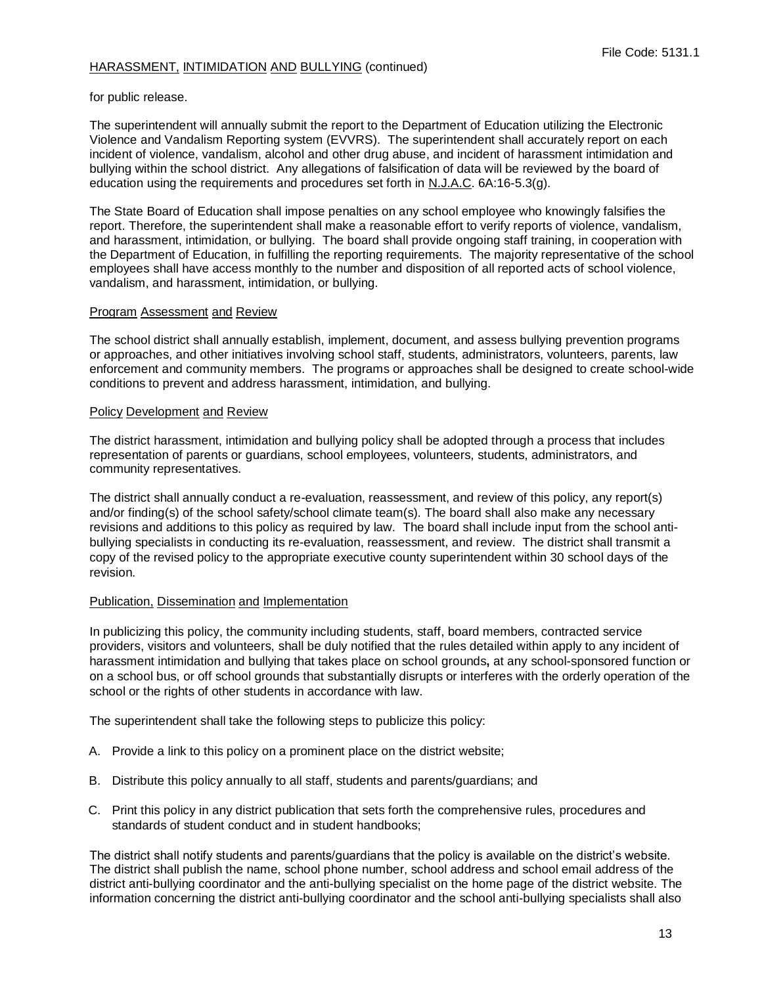for public release.

The superintendent will annually submit the report to the Department of Education utilizing the Electronic Violence and Vandalism Reporting system (EVVRS). The superintendent shall accurately report on each incident of violence, vandalism, alcohol and other drug abuse, and incident of harassment intimidation and bullying within the school district. Any allegations of falsification of data will be reviewed by the board of education using the requirements and procedures set forth in N.J.A.C. 6A:16-5.3(g).

The State Board of Education shall impose penalties on any school employee who knowingly falsifies the report. Therefore, the superintendent shall make a reasonable effort to verify reports of violence, vandalism, and harassment, intimidation, or bullying. The board shall provide ongoing staff training, in cooperation with the Department of Education, in fulfilling the reporting requirements. The majority representative of the school employees shall have access monthly to the number and disposition of all reported acts of school violence, vandalism, and harassment, intimidation, or bullying.

## Program Assessment and Review

The school district shall annually establish, implement, document, and assess bullying prevention programs or approaches, and other initiatives involving school staff, students, administrators, volunteers, parents, law enforcement and community members. The programs or approaches shall be designed to create school-wide conditions to prevent and address harassment, intimidation, and bullying.

#### Policy Development and Review

The district harassment, intimidation and bullying policy shall be adopted through a process that includes representation of parents or guardians, school employees, volunteers, students, administrators, and community representatives.

The district shall annually conduct a re-evaluation, reassessment, and review of this policy, any report(s) and/or finding(s) of the school safety/school climate team(s). The board shall also make any necessary revisions and additions to this policy as required by law. The board shall include input from the school antibullying specialists in conducting its re-evaluation, reassessment, and review. The district shall transmit a copy of the revised policy to the appropriate executive county superintendent within 30 school days of the revision.

## Publication, Dissemination and Implementation

In publicizing this policy, the community including students, staff, board members, contracted service providers, visitors and volunteers, shall be duly notified that the rules detailed within apply to any incident of harassment intimidation and bullying that takes place on school grounds**,** at any school-sponsored function or on a school bus, or off school grounds that substantially disrupts or interferes with the orderly operation of the school or the rights of other students in accordance with law.

The superintendent shall take the following steps to publicize this policy:

- A. Provide a link to this policy on a prominent place on the district website;
- B. Distribute this policy annually to all staff, students and parents/guardians; and
- C. Print this policy in any district publication that sets forth the comprehensive rules, procedures and standards of student conduct and in student handbooks;

The district shall notify students and parents/guardians that the policy is available on the district's website. The district shall publish the name, school phone number, school address and school email address of the district anti-bullying coordinator and the anti-bullying specialist on the home page of the district website. The information concerning the district anti-bullying coordinator and the school anti-bullying specialists shall also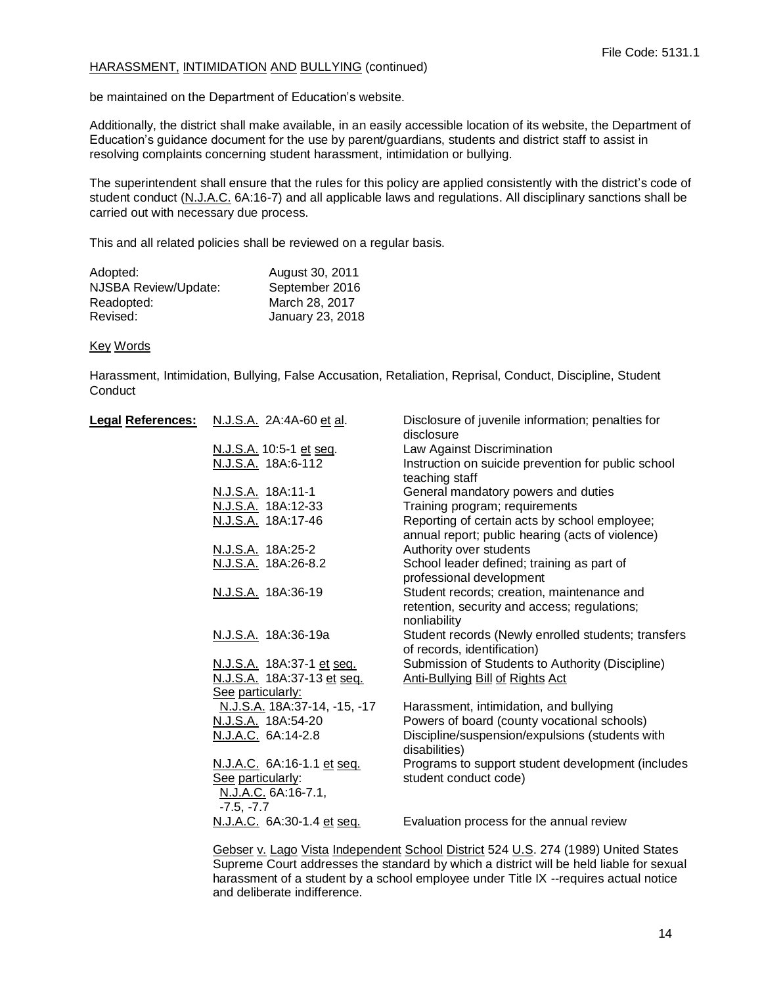be maintained on the Department of Education's website.

Additionally, the district shall make available, in an easily accessible location of its website, the Department of Education's guidance document for the use by parent/guardians, students and district staff to assist in resolving complaints concerning student harassment, intimidation or bullying.

The superintendent shall ensure that the rules for this policy are applied consistently with the district's code of student conduct (N.J.A.C. 6A:16-7) and all applicable laws and regulations. All disciplinary sanctions shall be carried out with necessary due process.

This and all related policies shall be reviewed on a regular basis.

| Adopted:             | August 30, 2011  |
|----------------------|------------------|
| NJSBA Review/Update: | September 2016   |
| Readopted:           | March 28, 2017   |
| Revised:             | January 23, 2018 |

#### Key Words

Harassment, Intimidation, Bullying, False Accusation, Retaliation, Reprisal, Conduct, Discipline, Student **Conduct** 

| <u> Legal References:</u> | N.J.S.A. 2A:4A-60 et al.                 | Disclosure of juvenile information; penalties for<br>disclosure |
|---------------------------|------------------------------------------|-----------------------------------------------------------------|
|                           | N.J.S.A. 10:5-1 et seq.                  | Law Against Discrimination                                      |
|                           | N.J.S.A. 18A:6-112                       | Instruction on suicide prevention for public school             |
|                           |                                          | teaching staff                                                  |
|                           | <u>N.J.S.A.</u> 18A:11-1                 | General mandatory powers and duties                             |
|                           | N.J.S.A. 18A:12-33                       | Training program; requirements                                  |
|                           | N.J.S.A. 18A:17-46                       | Reporting of certain acts by school employee;                   |
|                           |                                          | annual report; public hearing (acts of violence)                |
|                           | <u>N.J.S.A.</u> 18A:25-2                 | Authority over students                                         |
|                           | N.J.S.A. 18A:26-8.2                      | School leader defined; training as part of                      |
|                           |                                          | professional development                                        |
|                           | N.J.S.A. 18A:36-19                       | Student records; creation, maintenance and                      |
|                           |                                          | retention, security and access; regulations;                    |
|                           |                                          | nonliability                                                    |
|                           | N.J.S.A. 18A:36-19a                      | Student records (Newly enrolled students; transfers             |
|                           |                                          | of records, identification)                                     |
|                           | N.J.S.A. 18A:37-1 et seq.                | Submission of Students to Authority (Discipline)                |
|                           | N.J.S.A. 18A:37-13 et seq.               | <b>Anti-Bullying Bill of Rights Act</b>                         |
|                           | See particularly:                        |                                                                 |
|                           | N.J.S.A. 18A:37-14, -15, -17             | Harassment, intimidation, and bullying                          |
|                           | N.J.S.A. 18A:54-20                       | Powers of board (county vocational schools)                     |
|                           | N.J.A.C. 6A:14-2.8                       | Discipline/suspension/expulsions (students with                 |
|                           |                                          | disabilities)                                                   |
|                           | N.J.A.C. 6A:16-1.1 et seq.               | Programs to support student development (includes               |
|                           | See particularly:<br>N.J.A.C. 6A:16-7.1, | student conduct code)                                           |
|                           | $-7.5, -7.7$                             |                                                                 |
|                           | N.J.A.C. 6A:30-1.4 et seq.               | Evaluation process for the annual review                        |
|                           |                                          |                                                                 |
|                           |                                          |                                                                 |

Gebser v. Lago Vista Independent School District 524 U.S. 274 (1989) United States Supreme Court addresses the standard by which a district will be held liable for sexual harassment of a student by a school employee under Title IX --requires actual notice and deliberate indifference.